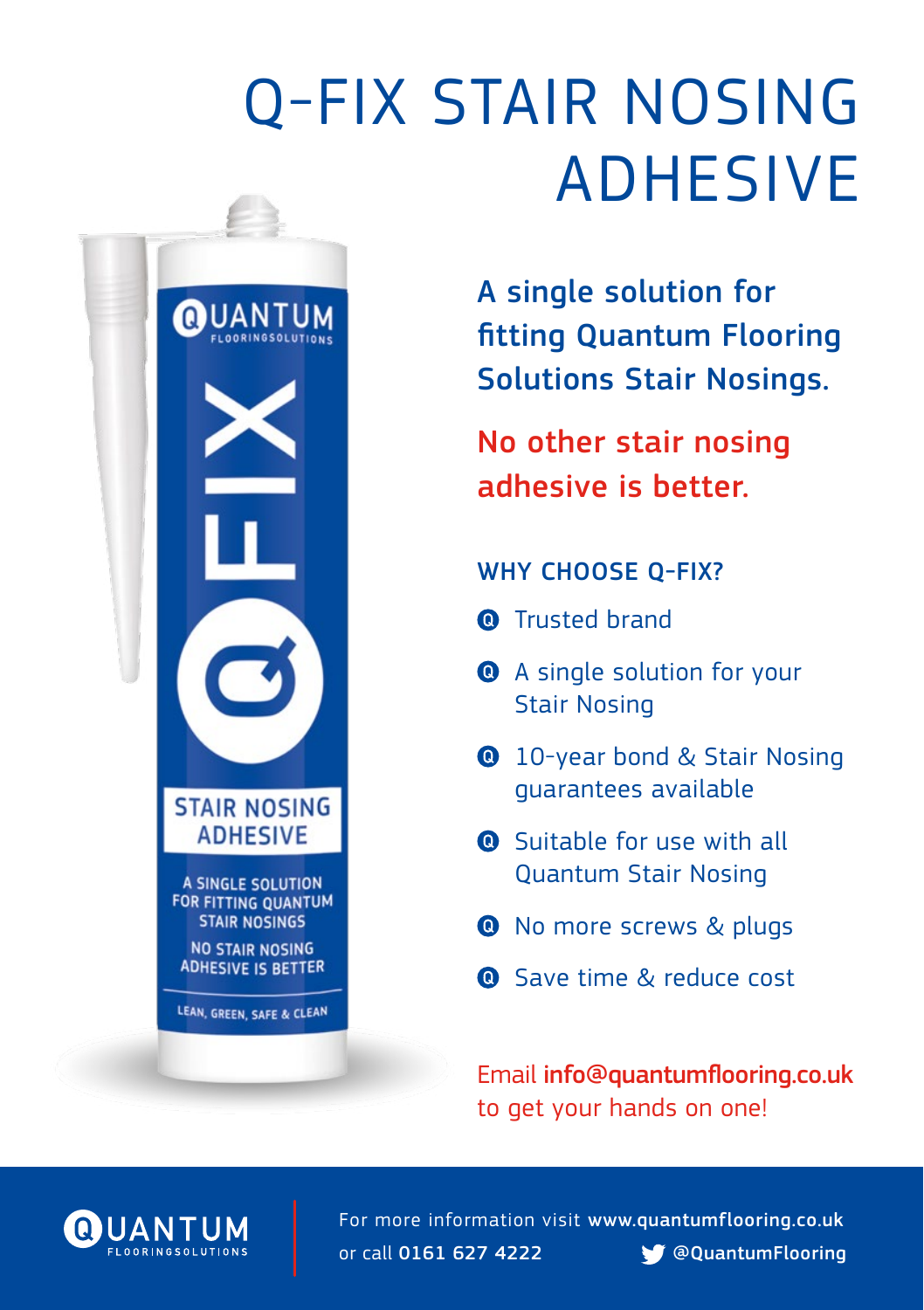# Q-FIX STAIR NOSING ADHESIVE

A single solution for fitting Quantum Flooring Solutions Stair Nosings.

No other stair nosing adhesive is better.

## WHY CHOOSE Q-FIX?

- **Q** Trusted brand
- **Q** A single solution for your Stair Nosing
- **10-year bond & Stair Nosing** guarantees available
- **Q** Suitable for use with all Quantum Stair Nosing
- **O** No more screws & plugs
- **Q** Save time & reduce cost

Email [info@quantumflooring.co.uk](mailto:info%40quantumflooring.co.uk?subject=)  to get your hands on one!



UANTUM

**STAIR NOSING ADHESIVE** 

A SINGLE SOLUTION **FOR FITTING QUANTUM STAIR NOSINGS NO STAIR NOSING ADHESIVE IS BETTER** 

LEAN, GREEN, SAFE & CLEAN

For more information visit [www.quantumflooring.co.uk](http://www.quantumflooring.co.uk) or call 0161 627 4222 **[@QuantumFlooring](https://twitter.com/QuantumFlooring)**